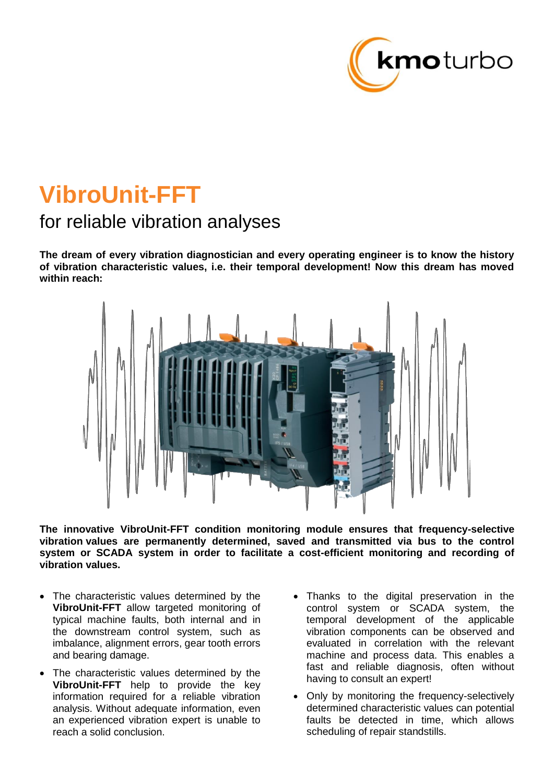

# **VibroUnit-FFT**

## for reliable vibration analyses

**The dream of every vibration diagnostician and every operating engineer is to know the history of vibration characteristic values, i.e. their temporal development! Now this dream has moved within reach:**



**The innovative VibroUnit-FFT condition monitoring module ensures that frequency-selective vibration values are permanently determined, saved and transmitted via bus to the control system or SCADA system in order to facilitate a cost-efficient monitoring and recording of vibration values.**

- The characteristic values determined by the **VibroUnit-FFT** allow targeted monitoring of typical machine faults, both internal and in the downstream control system, such as imbalance, alignment errors, gear tooth errors and bearing damage.
- The characteristic values determined by the **VibroUnit-FFT** help to provide the key information required for a reliable vibration analysis. Without adequate information, even an experienced vibration expert is unable to reach a solid conclusion.
- Thanks to the digital preservation in the control system or SCADA system, the temporal development of the applicable vibration components can be observed and evaluated in correlation with the relevant machine and process data. This enables a fast and reliable diagnosis, often without having to consult an expert!
- Only by monitoring the frequency-selectively determined characteristic values can potential faults be detected in time, which allows scheduling of repair standstills.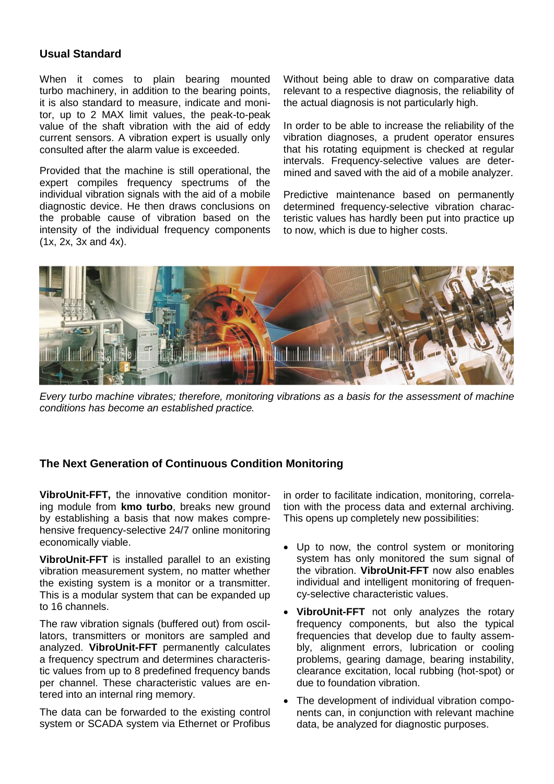#### **Usual Standard**

When it comes to plain bearing mounted turbo machinery, in addition to the bearing points, it is also standard to measure, indicate and monitor, up to 2 MAX limit values, the peak-to-peak value of the shaft vibration with the aid of eddy current sensors. A vibration expert is usually only consulted after the alarm value is exceeded.

Provided that the machine is still operational, the expert compiles frequency spectrums of the individual vibration signals with the aid of a mobile diagnostic device. He then draws conclusions on the probable cause of vibration based on the intensity of the individual frequency components (1x, 2x, 3x and 4x).

Without being able to draw on comparative data relevant to a respective diagnosis, the reliability of the actual diagnosis is not particularly high.

In order to be able to increase the reliability of the vibration diagnoses, a prudent operator ensures that his rotating equipment is checked at regular intervals. Frequency-selective values are determined and saved with the aid of a mobile analyzer.

Predictive maintenance based on permanently determined frequency-selective vibration characteristic values has hardly been put into practice up to now, which is due to higher costs.



*Every turbo machine vibrates; therefore, monitoring vibrations as a basis for the assessment of machine conditions has become an established practice.*

#### **The Next Generation of Continuous Condition Monitoring**

**VibroUnit-FFT,** the innovative condition monitoring module from **kmo turbo**, breaks new ground by establishing a basis that now makes comprehensive frequency-selective 24/7 online monitoring economically viable.

**VibroUnit-FFT** is installed parallel to an existing vibration measurement system, no matter whether the existing system is a monitor or a transmitter. This is a modular system that can be expanded up to 16 channels.

The raw vibration signals (buffered out) from oscillators, transmitters or monitors are sampled and analyzed. **VibroUnit-FFT** permanently calculates a frequency spectrum and determines characteristic values from up to 8 predefined frequency bands per channel. These characteristic values are entered into an internal ring memory.

The data can be forwarded to the existing control system or SCADA system via Ethernet or Profibus

in order to facilitate indication, monitoring, correlation with the process data and external archiving. This opens up completely new possibilities:

- Up to now, the control system or monitoring system has only monitored the sum signal of the vibration. **VibroUnit-FFT** now also enables individual and intelligent monitoring of frequency-selective characteristic values.
- **VibroUnit-FFT** not only analyzes the rotary frequency components, but also the typical frequencies that develop due to faulty assembly, alignment errors, lubrication or cooling problems, gearing damage, bearing instability, clearance excitation, local rubbing (hot-spot) or due to foundation vibration.
- The development of individual vibration components can, in conjunction with relevant machine data, be analyzed for diagnostic purposes.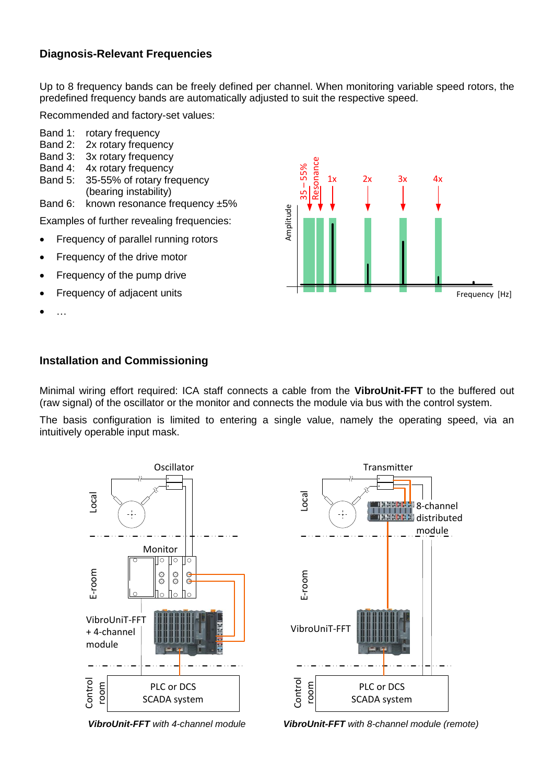#### **Diagnosis-Relevant Frequencies**

Up to 8 frequency bands can be freely defined per channel. When monitoring variable speed rotors, the predefined frequency bands are automatically adjusted to suit the respective speed.

Recommended and factory-set values:

- Band 1: rotary frequency
- Band 2: 2x rotary frequency
- Band 3: 3x rotary frequency
- Band 4: 4x rotary frequency
- Band 5: 35-55% of rotary frequency (bearing instability)

Band 6: known resonance frequency  $\pm 5\%$ 

Examples of further revealing frequencies:

- Frequency of parallel running rotors
- Frequency of the drive motor
- Frequency of the pump drive
- Frequency of adjacent units
- …



#### **Installation and Commissioning**

Minimal wiring effort required: ICA staff connects a cable from the **VibroUnit-FFT** to the buffered out (raw signal) of the oscillator or the monitor and connects the module via bus with the control system.

The basis configuration is limited to entering a single value, namely the operating speed, via an intuitively operable input mask.





 *VibroUnit-FFT with 4-channel module VibroUnit-FFT with 8-channel module (remote)*